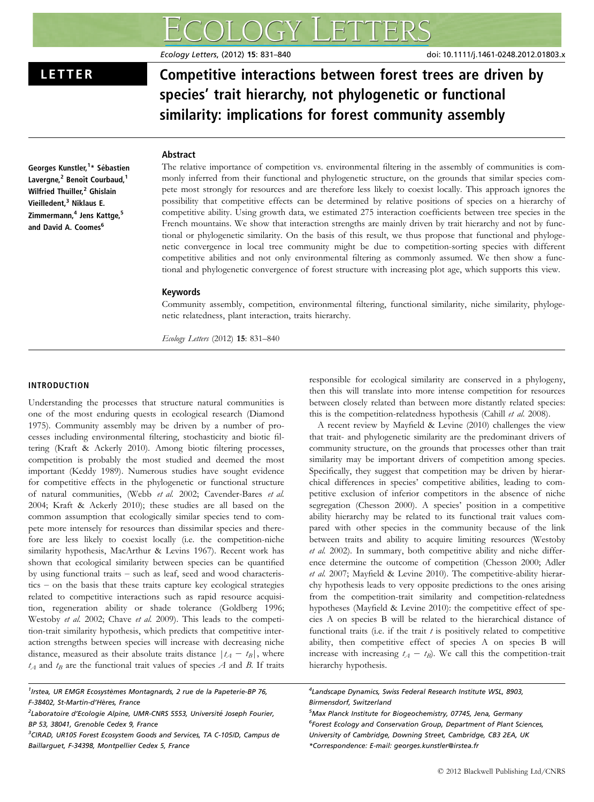Ecology Letters, (2012) 15: 831–840 doi: 10.1111/j.1461-0248.2012.01803.x

LETTER Competitive interactions between forest trees are driven by species' trait hierarchy, not phylogenetic or functional similarity: implications for forest community assembly

# Abstract

Georges Kunstler,<sup>1</sup>\* Sébastien Lavergne,<sup>2</sup> Benoît Courbaud,<sup>1</sup> Wilfried Thuiller.<sup>2</sup> Ghislain Vieilledent,<sup>3</sup> Niklaus E. Zimmermann,<sup>4</sup> Jens Kattge,<sup>5</sup> and David A. Coomes<sup>6</sup>

The relative importance of competition vs. environmental filtering in the assembly of communities is commonly inferred from their functional and phylogenetic structure, on the grounds that similar species compete most strongly for resources and are therefore less likely to coexist locally. This approach ignores the possibility that competitive effects can be determined by relative positions of species on a hierarchy of competitive ability. Using growth data, we estimated 275 interaction coefficients between tree species in the French mountains. We show that interaction strengths are mainly driven by trait hierarchy and not by functional or phylogenetic similarity. On the basis of this result, we thus propose that functional and phylogenetic convergence in local tree community might be due to competition-sorting species with different competitive abilities and not only environmental filtering as commonly assumed. We then show a functional and phylogenetic convergence of forest structure with increasing plot age, which supports this view.

# Keywords

Community assembly, competition, environmental filtering, functional similarity, niche similarity, phylogenetic relatedness, plant interaction, traits hierarchy.

Ecology Letters (2012) 15: 831–840

# INTRODUCTION

Understanding the processes that structure natural communities is one of the most enduring quests in ecological research (Diamond 1975). Community assembly may be driven by a number of processes including environmental filtering, stochasticity and biotic filtering (Kraft & Ackerly 2010). Among biotic filtering processes, competition is probably the most studied and deemed the most important (Keddy 1989). Numerous studies have sought evidence for competitive effects in the phylogenetic or functional structure of natural communities, (Webb et al. 2002; Cavender-Bares et al. 2004; Kraft & Ackerly 2010); these studies are all based on the common assumption that ecologically similar species tend to compete more intensely for resources than dissimilar species and therefore are less likely to coexist locally (i.e. the competition-niche similarity hypothesis, MacArthur & Levins 1967). Recent work has shown that ecological similarity between species can be quantified by using functional traits – such as leaf, seed and wood characteristics – on the basis that these traits capture key ecological strategies related to competitive interactions such as rapid resource acquisition, regeneration ability or shade tolerance (Goldberg 1996; Westoby et al. 2002; Chave et al. 2009). This leads to the competition-trait similarity hypothesis, which predicts that competitive interaction strengths between species will increase with decreasing niche distance, measured as their absolute traits distance  $|t_A - t_B|$ , where  $t_A$  and  $t_B$  are the functional trait values of species A and B. If traits

<sup>1</sup>Irstea, UR EMGR Ecosystèmes Montagnards, 2 rue de la Papeterie-BP 76, F-38402, St-Martin-d'Hères, France

responsible for ecological similarity are conserved in a phylogeny, then this will translate into more intense competition for resources between closely related than between more distantly related species: this is the competition-relatedness hypothesis (Cahill et al. 2008).

A recent review by Mayfield & Levine (2010) challenges the view that trait- and phylogenetic similarity are the predominant drivers of community structure, on the grounds that processes other than trait similarity may be important drivers of competition among species. Specifically, they suggest that competition may be driven by hierarchical differences in species' competitive abilities, leading to competitive exclusion of inferior competitors in the absence of niche segregation (Chesson 2000). A species' position in a competitive ability hierarchy may be related to its functional trait values compared with other species in the community because of the link between traits and ability to acquire limiting resources (Westoby et al. 2002). In summary, both competitive ability and niche difference determine the outcome of competition (Chesson 2000; Adler et al. 2007; Mayfield & Levine 2010). The competitive-ability hierarchy hypothesis leads to very opposite predictions to the ones arising from the competition-trait similarity and competition-relatedness hypotheses (Mayfield & Levine 2010): the competitive effect of species A on species B will be related to the hierarchical distance of functional traits (i.e. if the trait  $t$  is positively related to competitive ability, then competitive effect of species A on species B will increase with increasing  $t_A - t_B$ ). We call this the competition-trait hierarchy hypothesis.

4 Landscape Dynamics, Swiss Federal Research Institute WSL, 8903, Birmensdorf, Switzerland

5 Max Planck Institute for Biogeochemistry, 07745, Jena, Germany <sup>6</sup>Forest Ecology and Conservation Group, Department of Plant Sciences, University of Cambridge, Downing Street, Cambridge, CB3 2EA, UK \*Correspondence: E-mail: georges.kunstler@irstea.fr

<sup>&</sup>lt;sup>2</sup>Laboratoire d'Ecologie Alpine, UMR-CNRS 5553, Université Joseph Fourier, BP 53, 38041, Grenoble Cedex 9, France

<sup>&</sup>lt;sup>3</sup>CIRAD, UR105 Forest Ecosystem Goods and Services, TA C-105/D, Campus de Baillarguet, F-34398, Montpellier Cedex 5, France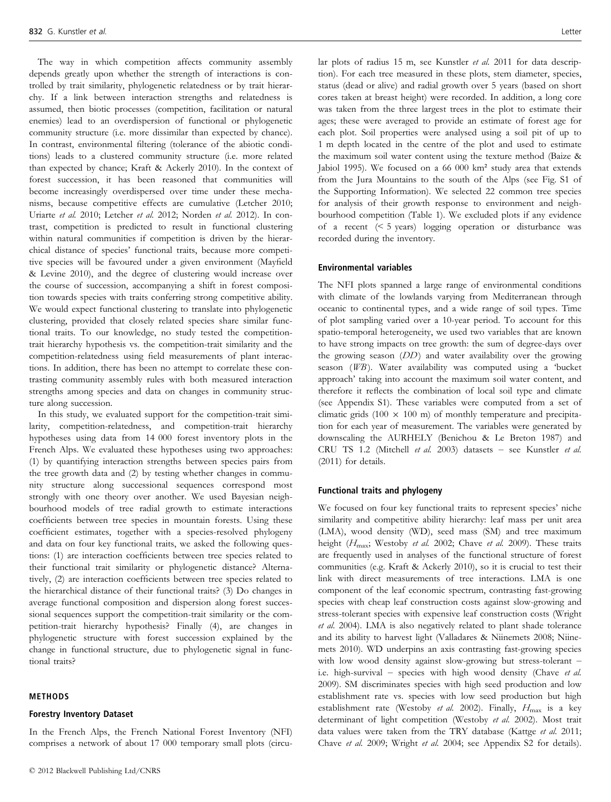The way in which competition affects community assembly depends greatly upon whether the strength of interactions is controlled by trait similarity, phylogenetic relatedness or by trait hierarchy. If a link between interaction strengths and relatedness is assumed, then biotic processes (competition, facilitation or natural enemies) lead to an overdispersion of functional or phylogenetic community structure (i.e. more dissimilar than expected by chance). In contrast, environmental filtering (tolerance of the abiotic conditions) leads to a clustered community structure (i.e. more related than expected by chance; Kraft & Ackerly 2010). In the context of forest succession, it has been reasoned that communities will become increasingly overdispersed over time under these mechanisms, because competitive effects are cumulative (Letcher 2010; Uriarte et al. 2010; Letcher et al. 2012; Norden et al. 2012). In contrast, competition is predicted to result in functional clustering within natural communities if competition is driven by the hierarchical distance of species' functional traits, because more competitive species will be favoured under a given environment (Mayfield & Levine 2010), and the degree of clustering would increase over the course of succession, accompanying a shift in forest composition towards species with traits conferring strong competitive ability. We would expect functional clustering to translate into phylogenetic clustering, provided that closely related species share similar functional traits. To our knowledge, no study tested the competitiontrait hierarchy hypothesis vs. the competition-trait similarity and the competition-relatedness using field measurements of plant interactions. In addition, there has been no attempt to correlate these contrasting community assembly rules with both measured interaction strengths among species and data on changes in community structure along succession.

In this study, we evaluated support for the competition-trait similarity, competition-relatedness, and competition-trait hierarchy hypotheses using data from 14 000 forest inventory plots in the French Alps. We evaluated these hypotheses using two approaches: (1) by quantifying interaction strengths between species pairs from the tree growth data and (2) by testing whether changes in community structure along successional sequences correspond most strongly with one theory over another. We used Bayesian neighbourhood models of tree radial growth to estimate interactions coefficients between tree species in mountain forests. Using these coefficient estimates, together with a species-resolved phylogeny and data on four key functional traits, we asked the following questions: (1) are interaction coefficients between tree species related to their functional trait similarity or phylogenetic distance? Alternatively, (2) are interaction coefficients between tree species related to the hierarchical distance of their functional traits? (3) Do changes in average functional composition and dispersion along forest successional sequences support the competition-trait similarity or the competition-trait hierarchy hypothesis? Finally (4), are changes in phylogenetic structure with forest succession explained by the change in functional structure, due to phylogenetic signal in functional traits?

#### METHODS

## Forestry Inventory Dataset

In the French Alps, the French National Forest Inventory (NFI) comprises a network of about 17 000 temporary small plots (circular plots of radius 15 m, see Kunstler et al. 2011 for data description). For each tree measured in these plots, stem diameter, species, status (dead or alive) and radial growth over 5 years (based on short cores taken at breast height) were recorded. In addition, a long core was taken from the three largest trees in the plot to estimate their ages; these were averaged to provide an estimate of forest age for each plot. Soil properties were analysed using a soil pit of up to 1 m depth located in the centre of the plot and used to estimate the maximum soil water content using the texture method (Baize & Jabiol 1995). We focused on a 66 000 km² study area that extends from the Jura Mountains to the south of the Alps (see Fig. S1 of the Supporting Information). We selected 22 common tree species for analysis of their growth response to environment and neighbourhood competition (Table 1). We excluded plots if any evidence of a recent (< 5 years) logging operation or disturbance was recorded during the inventory.

#### Environmental variables

The NFI plots spanned a large range of environmental conditions with climate of the lowlands varying from Mediterranean through oceanic to continental types, and a wide range of soil types. Time of plot sampling varied over a 10-year period. To account for this spatio-temporal heterogeneity, we used two variables that are known to have strong impacts on tree growth: the sum of degree-days over the growing season (DD) and water availability over the growing season  $(WB)$ . Water availability was computed using a 'bucket' approach' taking into account the maximum soil water content, and therefore it reflects the combination of local soil type and climate (see Appendix S1). These variables were computed from a set of climatic grids (100  $\times$  100 m) of monthly temperature and precipitation for each year of measurement. The variables were generated by downscaling the AURHELY (Benichou & Le Breton 1987) and CRU TS 1.2 (Mitchell et al. 2003) datasets – see Kunstler et al. (2011) for details.

## Functional traits and phylogeny

We focused on four key functional traits to represent species' niche similarity and competitive ability hierarchy: leaf mass per unit area (LMA), wood density (WD), seed mass (SM) and tree maximum height  $(H_{\text{max}};$  Westoby et al. 2002; Chave et al. 2009). These traits are frequently used in analyses of the functional structure of forest communities (e.g. Kraft & Ackerly 2010), so it is crucial to test their link with direct measurements of tree interactions. LMA is one component of the leaf economic spectrum, contrasting fast-growing species with cheap leaf construction costs against slow-growing and stress-tolerant species with expensive leaf construction costs (Wright et al. 2004). LMA is also negatively related to plant shade tolerance and its ability to harvest light (Valladares & Niinemets 2008; Niinemets 2010). WD underpins an axis contrasting fast-growing species with low wood density against slow-growing but stress-tolerant – i.e. high-survival - species with high wood density (Chave et al. 2009). SM discriminates species with high seed production and low establishment rate vs. species with low seed production but high establishment rate (Westoby et al. 2002). Finally,  $H_{\text{max}}$  is a key determinant of light competition (Westoby et al. 2002). Most trait data values were taken from the TRY database (Kattge et al. 2011; Chave et al. 2009; Wright et al. 2004; see Appendix S2 for details).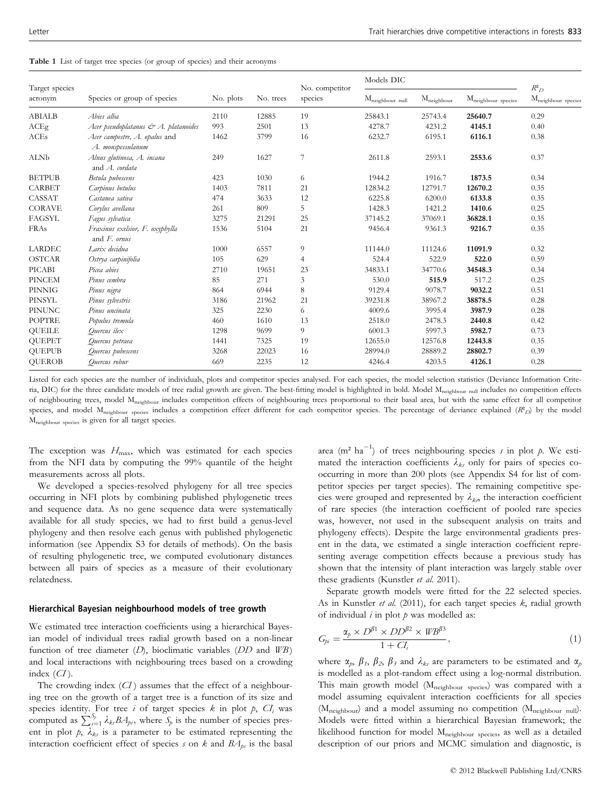|  |  |  |  |  |  |  | <b>Table 1</b> List of target tree species (or group of species) and their acronyms |
|--|--|--|--|--|--|--|-------------------------------------------------------------------------------------|
|--|--|--|--|--|--|--|-------------------------------------------------------------------------------------|

|                           |                                                    | No. plots | No. trees | No. competitor<br>species | Models DIC               |                     |                             |                                      |
|---------------------------|----------------------------------------------------|-----------|-----------|---------------------------|--------------------------|---------------------|-----------------------------|--------------------------------------|
| Target species<br>acronym | Species or group of species                        |           |           |                           | $\rm M_{neighbour}$ null | $\rm M_{neighbour}$ | $\rm M_{neighbour}$ species | $R^2$<br>$\rm M_{neighbour}$ species |
| <b>ABIALB</b>             | Abies alba                                         | 2110      | 12885     | 19                        | 25843.1                  | 25743.4             | 25640.7                     | 0.29                                 |
| ACEg                      | Acer pseudoplatanus & A. platanoides               | 993       | 2501      | 13                        | 4278.7                   | 4231.2              | 4145.1                      | 0.40                                 |
| <b>ACEs</b>               | Acer campestre, A. opalus and<br>A. monspessulanum | 1462      | 3799      | 16                        | 6232.7                   | 6195.1              | 6116.1                      | 0.38                                 |
| <b>ALNb</b>               | Alnus glutinosa, A. incana<br>and A. cordata       | 249       | 1627      | 7                         | 2611.8                   | 2593.1              | 2553.6                      | 0.37                                 |
| <b>BETPUB</b>             | Betula pubescens                                   | 423       | 1030      | 6                         | 1944.2                   | 1916.7              | 1873.5                      | 0.34                                 |
| CARBET                    | Carpinus betulus                                   | 1403      | 7811      | 21                        | 12834.2                  | 12791.7             | 12670.2                     | 0.35                                 |
| CASSAT                    | Castanea sativa                                    | 474       | 3633      | 12                        | 6225.8                   | 6200.0              | 6133.8                      | 0.35                                 |
| <b>CORAVE</b>             | Corylus avellana                                   | 261       | 809       | 5                         | 1428.3                   | 1421.2              | 1410.6                      | 0.25                                 |
| FAGSYL                    | Fagus sylvatica                                    | 3275      | 21291     | 25                        | 37145.2                  | 37069.1             | 36828.1                     | 0.35                                 |
| FRAs                      | Fraxinus exelsior, F. oxyphylla<br>and $F.$ ornus  | 1536      | 5104      | 21                        | 9456.4                   | 9361.3              | 9216.7                      | 0.35                                 |
| <b>LARDEC</b>             | Larix decidua                                      | 1000      | 6557      | 9                         | 11144.0                  | 11124.6             | 11091.9                     | 0.32                                 |
| <b>OSTCAR</b>             | Ostrya carpinifolia                                | 105       | 629       | 4                         | 524.4                    | 522.9               | 522.0                       | 0.59                                 |
| PICABI                    | Picea abies                                        | 2710      | 19651     | 23                        | 34833.1                  | 34770.6             | 34548.3                     | 0.34                                 |
| <b>PINCEM</b>             | Pinus cembra                                       | 85        | 271       | 3                         | 530.0                    | 515.9               | 517.2                       | 0.25                                 |
| <b>PINNIG</b>             | Pinus nigra                                        | 864       | 6944      | 8                         | 9129.4                   | 9078.7              | 9032.2                      | 0.51                                 |
| PINSYL                    | Pinus sylvestris                                   | 3186      | 21962     | 21                        | 39231.8                  | 38967.2             | 38878.5                     | 0.28                                 |
| <b>PINUNC</b>             | Pinus uncinata                                     | 325       | 2230      | 6                         | 4009.6                   | 3995.4              | 3987.9                      | 0.28                                 |
| <b>POPTRE</b>             | Populus tremula                                    | 460       | 1610      | 13                        | 2518.0                   | 2478.3              | 2440.8                      | 0.42                                 |
| <b>QUEILE</b>             | Ouercus ilex                                       | 1298      | 9699      | 9                         | 6001.3                   | 5997.3              | 5982.7                      | 0.73                                 |
| <b>QUEPET</b>             | Quercus petraea                                    | 1441      | 7325      | 19                        | 12655.0                  | 12576.8             | 12443.8                     | 0.35                                 |
| <b>QUEPUB</b>             | Quercus pubescens                                  | 3268      | 22023     | 16                        | 28994.0                  | 28889.2             | 28802.7                     | 0.39                                 |
| <b>QUEROB</b>             | Quercus robur                                      | 669       | 2235      | 12                        | 4246.4                   | 4203.5              | 4126.1                      | 0.28                                 |

Listed for each species are the number of individuals, plots and competitor species analysed. For each species, the model selection statistics (Deviance Information Criteria, DIC) for the three candidate models of tree radial growth are given. The best-fitting model is highlighted in bold. Model M<sub>neighbour null</sub> includes no competition effects of neighbouring trees, model Mneighbour includes competition effects of neighbouring trees proportional to their basal area, but with the same effect for all competitor species, and model  $M_{neighbour}$  species includes a competition effect different for each competitor species. The percentage of deviance explained  $(R<sup>2</sup>D)$  by the model Mneighbour species is given for all target species.

The exception was  $H_{\text{max}}$ , which was estimated for each species from the NFI data by computing the 99% quantile of the height measurements across all plots.

We developed a species-resolved phylogeny for all tree species occurring in NFI plots by combining published phylogenetic trees and sequence data. As no gene sequence data were systematically available for all study species, we had to first build a genus-level phylogeny and then resolve each genus with published phylogenetic information (see Appendix S3 for details of methods). On the basis of resulting phylogenetic tree, we computed evolutionary distances between all pairs of species as a measure of their evolutionary relatedness.

#### Hierarchical Bayesian neighbourhood models of tree growth

We estimated tree interaction coefficients using a hierarchical Bayesian model of individual trees radial growth based on a non-linear function of tree diameter  $(D)$ , bioclimatic variables  $(DD \text{ and } WB)$ and local interactions with neighbouring trees based on a crowding index  $(CI)$ .

The crowding index  $(CI)$  assumes that the effect of a neighbouring tree on the growth of a target tree is a function of its size and species identity. For tree  $i$  of target species  $k$  in plot  $p$ ,  $CI$ <sub>i</sub> was computed as  $\sum_{i=1}^{S_p} \lambda_{ks} B A_{ps}$ , where  $S_p$  is the number of species present in plot  $p$ ,  $\lambda_{ks}$  is a parameter to be estimated representing the interaction coefficient effect of species s on k and  $BA_{ps}$  is the basal

area (m<sup>2</sup> ha<sup>-1</sup>) of trees neighbouring species s in plot p. We estimated the interaction coefficients  $\lambda_{ks}$  only for pairs of species cooccurring in more than 200 plots (see Appendix S4 for list of competitor species per target species). The remaining competitive species were grouped and represented by  $\lambda_{kn}$ , the interaction coefficient of rare species (the interaction coefficient of pooled rare species was, however, not used in the subsequent analysis on traits and phylogeny effects). Despite the large environmental gradients present in the data, we estimated a single interaction coefficient representing average competition effects because a previous study has shown that the intensity of plant interaction was largely stable over these gradients (Kunstler et al. 2011).

Separate growth models were fitted for the 22 selected species. As in Kunstler et al. (2011), for each target species  $k$ , radial growth of individual  $i$  in plot  $p$  was modelled as:

$$
G_{pi} = \frac{\alpha_p \times D^{\beta 1} \times DD^{\beta 2} \times WB^{\beta 3}}{1 + CI_i},
$$
\n(1)

where  $\alpha_p$ ,  $\beta_1$ ,  $\beta_2$ ,  $\beta_3$  and  $\lambda_{ks}$  are parameters to be estimated and  $\alpha_p$ is modelled as a plot-random effect using a log-normal distribution. This main growth model  $(M_{neighbour\ species})$  was compared with a model assuming equivalent interaction coefficients for all species (M<sub>neighbour</sub>) and a model assuming no competition (M<sub>neighbour null</sub>). Models were fitted within a hierarchical Bayesian framework; the likelihood function for model M<sub>neighbour species</sub>, as well as a detailed description of our priors and MCMC simulation and diagnostic, is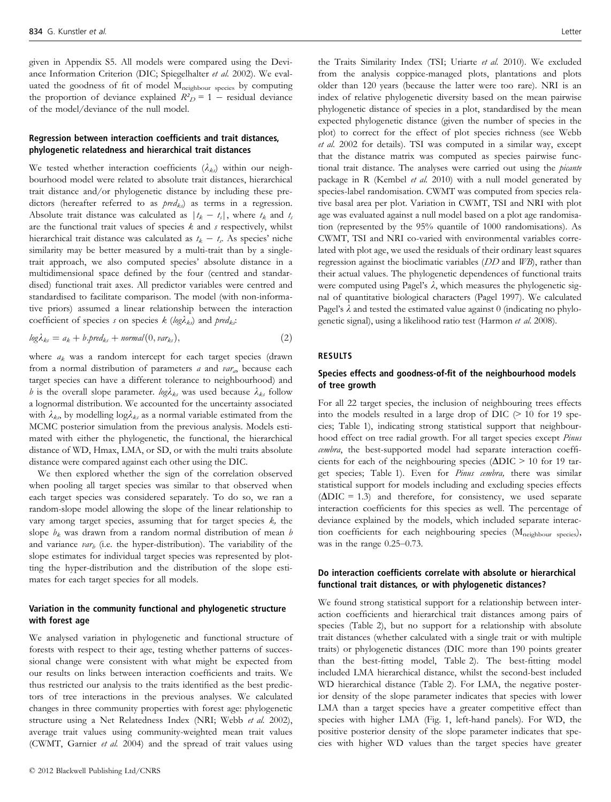given in Appendix S5. All models were compared using the Deviance Information Criterion (DIC; Spiegelhalter et al. 2002). We evaluated the goodness of fit of model  $M_{neighbour}$  species by computing the proportion of deviance explained  $R_{D}^{2} = 1 -$  residual deviance of the model/deviance of the null model.

# Regression between interaction coefficients and trait distances, phylogenetic relatedness and hierarchical trait distances

We tested whether interaction coefficients  $(\lambda_{ks})$  within our neighbourhood model were related to absolute trait distances, hierarchical trait distance and/or phylogenetic distance by including these predictors (hereafter referred to as  $pred_{ks}$ ) as terms in a regression. Absolute trait distance was calculated as  $|t_k - t_s|$ , where  $t_k$  and  $t_s$ are the functional trait values of species  $k$  and  $s$  respectively, whilst hierarchical trait distance was calculated as  $t_k - t_s$ . As species' niche similarity may be better measured by a multi-trait than by a singletrait approach, we also computed species' absolute distance in a multidimensional space defined by the four (centred and standardised) functional trait axes. All predictor variables were centred and standardised to facilitate comparison. The model (with non-informative priors) assumed a linear relationship between the interaction coefficient of species s on species k (log $\lambda_{ks}$ ) and pred<sub>ks</sub>:

$$
log\lambda_{ks} = a_k + b.\text{pred}_{ks} + \text{normal}(0,\text{var}_{ks}),
$$
\n(2)

where  $a_k$  was a random intercept for each target species (drawn from a normal distribution of parameters a and  $var_a$ , because each target species can have a different tolerance to neighbourhood) and b is the overall slope parameter.  $log \lambda_{ks}$  was used because  $\lambda_{ks}$  follow a lognormal distribution. We accounted for the uncertainty associated with  $\lambda_{ks}$  by modelling log $\lambda_{ks}$  as a normal variable estimated from the MCMC posterior simulation from the previous analysis. Models estimated with either the phylogenetic, the functional, the hierarchical distance of WD, Hmax, LMA, or SD, or with the multi traits absolute distance were compared against each other using the DIC.

We then explored whether the sign of the correlation observed when pooling all target species was similar to that observed when each target species was considered separately. To do so, we ran a random-slope model allowing the slope of the linear relationship to vary among target species, assuming that for target species  $k$ , the slope  $b_k$  was drawn from a random normal distribution of mean  $b$ and variance  $var_b$  (i.e. the hyper-distribution). The variability of the slope estimates for individual target species was represented by plotting the hyper-distribution and the distribution of the slope estimates for each target species for all models.

# Variation in the community functional and phylogenetic structure with forest age

We analysed variation in phylogenetic and functional structure of forests with respect to their age, testing whether patterns of successional change were consistent with what might be expected from our results on links between interaction coefficients and traits. We thus restricted our analysis to the traits identified as the best predictors of tree interactions in the previous analyses. We calculated changes in three community properties with forest age: phylogenetic structure using a Net Relatedness Index (NRI; Webb et al. 2002), average trait values using community-weighted mean trait values (CWMT, Garnier et al. 2004) and the spread of trait values using

the Traits Similarity Index (TSI; Uriarte et al. 2010). We excluded from the analysis coppice-managed plots, plantations and plots older than 120 years (because the latter were too rare). NRI is an index of relative phylogenetic diversity based on the mean pairwise phylogenetic distance of species in a plot, standardised by the mean expected phylogenetic distance (given the number of species in the plot) to correct for the effect of plot species richness (see Webb et al. 2002 for details). TSI was computed in a similar way, except that the distance matrix was computed as species pairwise functional trait distance. The analyses were carried out using the *picante* package in R (Kembel et al. 2010) with a null model generated by species-label randomisation. CWMT was computed from species relative basal area per plot. Variation in CWMT, TSI and NRI with plot age was evaluated against a null model based on a plot age randomisation (represented by the 95% quantile of 1000 randomisations). As CWMT, TSI and NRI co-varied with environmental variables correlated with plot age, we used the residuals of their ordinary least squares regression against the bioclimatic variables (DD and WB), rather than their actual values. The phylogenetic dependences of functional traits were computed using Pagel's  $\lambda$ , which measures the phylogenetic signal of quantitative biological characters (Pagel 1997). We calculated Pagel's  $\lambda$  and tested the estimated value against 0 (indicating no phylogenetic signal), using a likelihood ratio test (Harmon et al. 2008).

# RESULTS

## Species effects and goodness-of-fit of the neighbourhood models of tree growth

For all 22 target species, the inclusion of neighbouring trees effects into the models resulted in a large drop of DIC  $(> 10$  for 19 species; Table 1), indicating strong statistical support that neighbourhood effect on tree radial growth. For all target species except Pinus cembra, the best-supported model had separate interaction coefficients for each of the neighbouring species ( $\Delta$ DIC > 10 for 19 target species; Table 1). Even for *Pinus cembra*, there was similar statistical support for models including and excluding species effects  $(\Delta DIC = 1.3)$  and therefore, for consistency, we used separate interaction coefficients for this species as well. The percentage of deviance explained by the models, which included separate interaction coefficients for each neighbouring species (Mneighbour species), was in the range 0.25–0.73.

# Do interaction coefficients correlate with absolute or hierarchical functional trait distances, or with phylogenetic distances?

We found strong statistical support for a relationship between interaction coefficients and hierarchical trait distances among pairs of species (Table 2), but no support for a relationship with absolute trait distances (whether calculated with a single trait or with multiple traits) or phylogenetic distances (DIC more than 190 points greater than the best-fitting model, Table 2). The best-fitting model included LMA hierarchical distance, whilst the second-best included WD hierarchical distance (Table 2). For LMA, the negative posterior density of the slope parameter indicates that species with lower LMA than a target species have a greater competitive effect than species with higher LMA (Fig. 1, left-hand panels). For WD, the positive posterior density of the slope parameter indicates that species with higher WD values than the target species have greater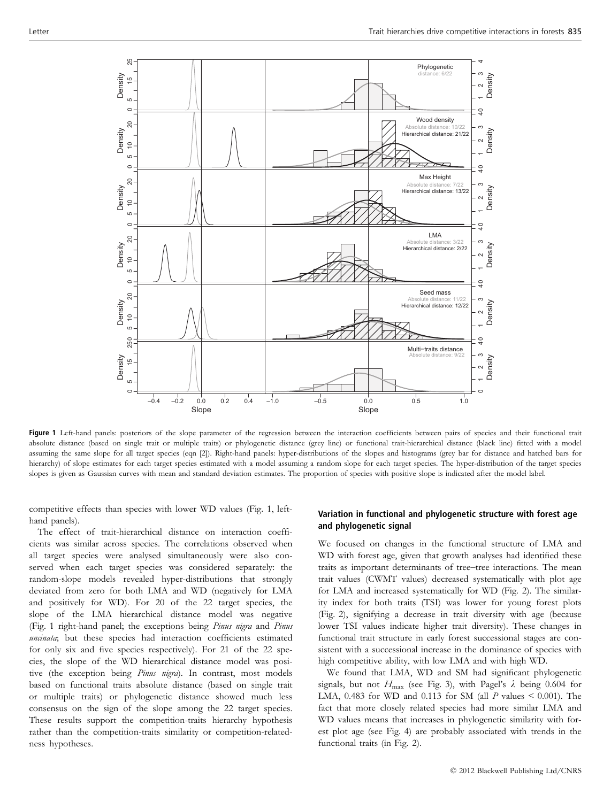

Figure 1 Left-hand panels: posteriors of the slope parameter of the regression between the interaction coefficients between pairs of species and their functional trait absolute distance (based on single trait or multiple traits) or phylogenetic distance (grey line) or functional trait-hierarchical distance (black line) fitted with a model assuming the same slope for all target species (eqn [2]). Right-hand panels: hyper-distributions of the slopes and histograms (grey bar for distance and hatched bars for hierarchy) of slope estimates for each target species estimated with a model assuming a random slope for each target species. The hyper-distribution of the target species slopes is given as Gaussian curves with mean and standard deviation estimates. The proportion of species with positive slope is indicated after the model label.

competitive effects than species with lower WD values (Fig. 1, lefthand panels).

The effect of trait-hierarchical distance on interaction coefficients was similar across species. The correlations observed when all target species were analysed simultaneously were also conserved when each target species was considered separately: the random-slope models revealed hyper-distributions that strongly deviated from zero for both LMA and WD (negatively for LMA and positively for WD). For 20 of the 22 target species, the slope of the LMA hierarchical distance model was negative (Fig. 1 right-hand panel; the exceptions being Pinus nigra and Pinus uncinata; but these species had interaction coefficients estimated for only six and five species respectively). For 21 of the 22 species, the slope of the WD hierarchical distance model was positive (the exception being Pinus nigra). In contrast, most models based on functional traits absolute distance (based on single trait or multiple traits) or phylogenetic distance showed much less consensus on the sign of the slope among the 22 target species. These results support the competition-traits hierarchy hypothesis rather than the competition-traits similarity or competition-relatedness hypotheses.

# Variation in functional and phylogenetic structure with forest age and phylogenetic signal

We focused on changes in the functional structure of LMA and WD with forest age, given that growth analyses had identified these traits as important determinants of tree–tree interactions. The mean trait values (CWMT values) decreased systematically with plot age for LMA and increased systematically for WD (Fig. 2). The similarity index for both traits (TSI) was lower for young forest plots (Fig. 2), signifying a decrease in trait diversity with age (because lower TSI values indicate higher trait diversity). These changes in functional trait structure in early forest successional stages are consistent with a successional increase in the dominance of species with high competitive ability, with low LMA and with high WD.

We found that LMA, WD and SM had significant phylogenetic signals, but not  $H_{\text{max}}$  (see Fig. 3), with Pagel's  $\lambda$  being 0.604 for LMA, 0.483 for WD and 0.113 for SM (all  $P$  values  $\leq$  0.001). The fact that more closely related species had more similar LMA and WD values means that increases in phylogenetic similarity with forest plot age (see Fig. 4) are probably associated with trends in the functional traits (in Fig. 2).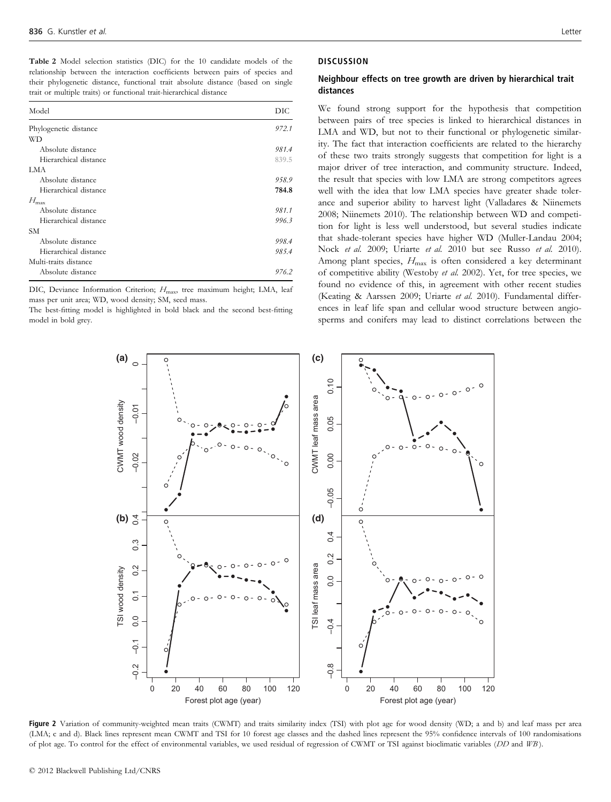Table 2 Model selection statistics (DIC) for the 10 candidate models of the relationship between the interaction coefficients between pairs of species and their phylogenetic distance, functional trait absolute distance (based on single trait or multiple traits) or functional trait-hierarchical distance

| Model                 | DIC.  |
|-----------------------|-------|
| Phylogenetic distance | 972.1 |
| WD                    |       |
| Absolute distance     | 981.4 |
| Hierarchical distance | 839.5 |
| <b>LMA</b>            |       |
| Absolute distance     | 958.9 |
| Hierarchical distance | 784.8 |
| $H_{\rm max}$         |       |
| Absolute distance     | 981.1 |
| Hierarchical distance | 996.3 |
| <b>SM</b>             |       |
| Absolute distance     | 998.4 |
| Hierarchical distance | 985.4 |
| Multi-traits distance |       |
| Absolute distance     | 976.2 |

DIC, Deviance Information Criterion;  $H_{\text{max}}$ , tree maximum height; LMA, leaf mass per unit area; WD, wood density; SM, seed mass.

The best-fitting model is highlighted in bold black and the second best-fitting model in bold grey.

## **DISCUSSION**

# Neighbour effects on tree growth are driven by hierarchical trait distances

We found strong support for the hypothesis that competition between pairs of tree species is linked to hierarchical distances in LMA and WD, but not to their functional or phylogenetic similarity. The fact that interaction coefficients are related to the hierarchy of these two traits strongly suggests that competition for light is a major driver of tree interaction, and community structure. Indeed, the result that species with low LMA are strong competitors agrees well with the idea that low LMA species have greater shade tolerance and superior ability to harvest light (Valladares & Niinemets 2008; Niinemets 2010). The relationship between WD and competition for light is less well understood, but several studies indicate that shade-tolerant species have higher WD (Muller-Landau 2004; Nock et al. 2009; Uriarte et al. 2010 but see Russo et al. 2010). Among plant species,  $H_{\text{max}}$  is often considered a key determinant of competitive ability (Westoby et al. 2002). Yet, for tree species, we found no evidence of this, in agreement with other recent studies (Keating & Aarssen 2009; Uriarte et al. 2010). Fundamental differences in leaf life span and cellular wood structure between angiosperms and conifers may lead to distinct correlations between the



Figure 2 Variation of community-weighted mean traits (CWMT) and traits similarity index (TSI) with plot age for wood density (WD; a and b) and leaf mass per area (LMA; c and d). Black lines represent mean CWMT and TSI for 10 forest age classes and the dashed lines represent the 95% confidence intervals of 100 randomisations of plot age. To control for the effect of environmental variables, we used residual of regression of CWMT or TSI against bioclimatic variables (DD and WB).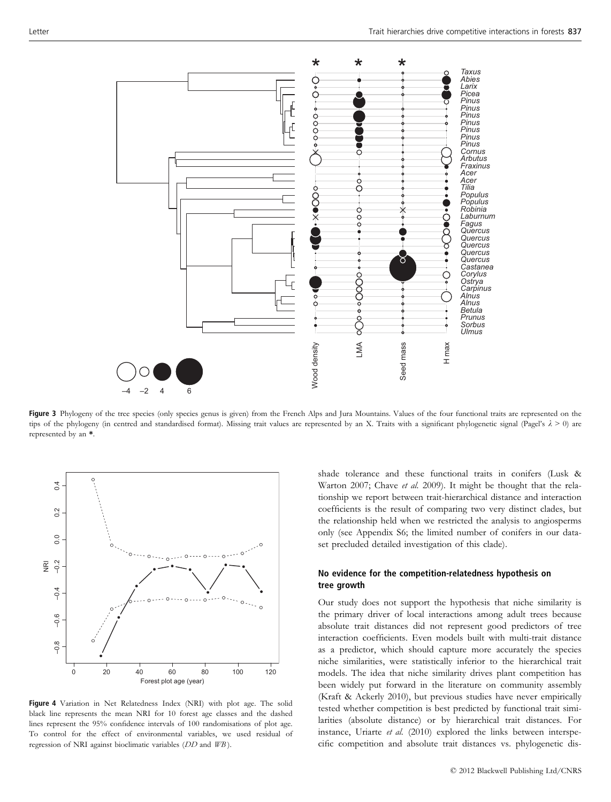

Figure 3 Phylogeny of the tree species (only species genus is given) from the French Alps and Jura Mountains. Values of the four functional traits are represented on the tips of the phylogeny (in centred and standardised format). Missing trait values are represented by an X. Traits with a significant phylogenetic signal (Pagel's  $\lambda > 0$ ) are represented by an \*.



Figure 4 Variation in Net Relatedness Index (NRI) with plot age. The solid black line represents the mean NRI for 10 forest age classes and the dashed lines represent the 95% confidence intervals of 100 randomisations of plot age. To control for the effect of environmental variables, we used residual of regression of NRI against bioclimatic variables (DD and WB ).

shade tolerance and these functional traits in conifers (Lusk & Warton 2007; Chave et al. 2009). It might be thought that the relationship we report between trait-hierarchical distance and interaction coefficients is the result of comparing two very distinct clades, but the relationship held when we restricted the analysis to angiosperms only (see Appendix S6; the limited number of conifers in our dataset precluded detailed investigation of this clade).

# No evidence for the competition-relatedness hypothesis on tree growth

Our study does not support the hypothesis that niche similarity is the primary driver of local interactions among adult trees because absolute trait distances did not represent good predictors of tree interaction coefficients. Even models built with multi-trait distance as a predictor, which should capture more accurately the species niche similarities, were statistically inferior to the hierarchical trait models. The idea that niche similarity drives plant competition has been widely put forward in the literature on community assembly (Kraft & Ackerly 2010), but previous studies have never empirically tested whether competition is best predicted by functional trait similarities (absolute distance) or by hierarchical trait distances. For instance, Uriarte et al. (2010) explored the links between interspe-Example 2018 and Mountains. Values of the four functional traits are represented on the presented by an X. Traits with a significant phylogenetic signal (Pagel's  $\lambda > 0$ ) are presented by an X. Traits with a significant p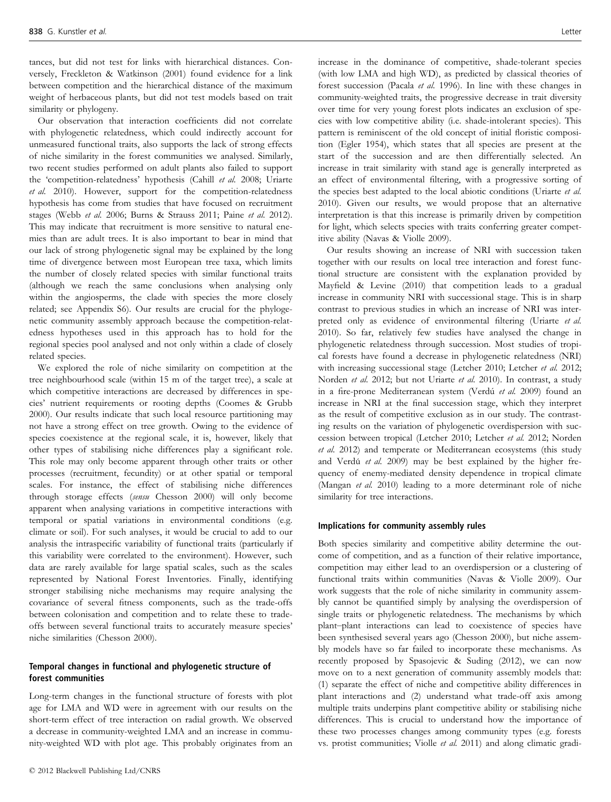tances, but did not test for links with hierarchical distances. Conversely, Freckleton & Watkinson (2001) found evidence for a link between competition and the hierarchical distance of the maximum weight of herbaceous plants, but did not test models based on trait similarity or phylogeny.

Our observation that interaction coefficients did not correlate with phylogenetic relatedness, which could indirectly account for unmeasured functional traits, also supports the lack of strong effects of niche similarity in the forest communities we analysed. Similarly, two recent studies performed on adult plants also failed to support the 'competition-relatedness' hypothesis (Cahill et al. 2008; Uriarte et al. 2010). However, support for the competition-relatedness hypothesis has come from studies that have focused on recruitment stages (Webb et al. 2006; Burns & Strauss 2011; Paine et al. 2012). This may indicate that recruitment is more sensitive to natural enemies than are adult trees. It is also important to bear in mind that our lack of strong phylogenetic signal may be explained by the long time of divergence between most European tree taxa, which limits the number of closely related species with similar functional traits (although we reach the same conclusions when analysing only within the angiosperms, the clade with species the more closely related; see Appendix S6). Our results are crucial for the phylogenetic community assembly approach because the competition-relatedness hypotheses used in this approach has to hold for the regional species pool analysed and not only within a clade of closely related species.

We explored the role of niche similarity on competition at the tree neighbourhood scale (within 15 m of the target tree), a scale at which competitive interactions are decreased by differences in species' nutrient requirements or rooting depths (Coomes & Grubb 2000). Our results indicate that such local resource partitioning may not have a strong effect on tree growth. Owing to the evidence of species coexistence at the regional scale, it is, however, likely that other types of stabilising niche differences play a significant role. This role may only become apparent through other traits or other processes (recruitment, fecundity) or at other spatial or temporal scales. For instance, the effect of stabilising niche differences through storage effects (sensu Chesson 2000) will only become apparent when analysing variations in competitive interactions with temporal or spatial variations in environmental conditions (e.g. climate or soil). For such analyses, it would be crucial to add to our analysis the intraspecific variability of functional traits (particularly if this variability were correlated to the environment). However, such data are rarely available for large spatial scales, such as the scales represented by National Forest Inventories. Finally, identifying stronger stabilising niche mechanisms may require analysing the covariance of several fitness components, such as the trade-offs between colonisation and competition and to relate these to tradeoffs between several functional traits to accurately measure species' niche similarities (Chesson 2000).

# Temporal changes in functional and phylogenetic structure of forest communities

Long-term changes in the functional structure of forests with plot age for LMA and WD were in agreement with our results on the short-term effect of tree interaction on radial growth. We observed a decrease in community-weighted LMA and an increase in community-weighted WD with plot age. This probably originates from an

increase in the dominance of competitive, shade-tolerant species (with low LMA and high WD), as predicted by classical theories of forest succession (Pacala et al. 1996). In line with these changes in community-weighted traits, the progressive decrease in trait diversity over time for very young forest plots indicates an exclusion of species with low competitive ability (i.e. shade-intolerant species). This pattern is reminiscent of the old concept of initial floristic composition (Egler 1954), which states that all species are present at the start of the succession and are then differentially selected. An increase in trait similarity with stand age is generally interpreted as an effect of environmental filtering, with a progressive sorting of the species best adapted to the local abiotic conditions (Uriarte et al. 2010). Given our results, we would propose that an alternative interpretation is that this increase is primarily driven by competition for light, which selects species with traits conferring greater competitive ability (Navas & Violle 2009).

Our results showing an increase of NRI with succession taken together with our results on local tree interaction and forest functional structure are consistent with the explanation provided by Mayfield & Levine (2010) that competition leads to a gradual increase in community NRI with successional stage. This is in sharp contrast to previous studies in which an increase of NRI was interpreted only as evidence of environmental filtering (Uriarte et al. 2010). So far, relatively few studies have analysed the change in phylogenetic relatedness through succession. Most studies of tropical forests have found a decrease in phylogenetic relatedness (NRI) with increasing successional stage (Letcher 2010; Letcher et al. 2012; Norden et al. 2012; but not Uriarte et al. 2010). In contrast, a study in a fire-prone Mediterranean system (Verdú et al. 2009) found an increase in NRI at the final succession stage, which they interpret as the result of competitive exclusion as in our study. The contrasting results on the variation of phylogenetic overdispersion with succession between tropical (Letcher 2010; Letcher et al. 2012; Norden et al. 2012) and temperate or Mediterranean ecosystems (this study and Verdú et al. 2009) may be best explained by the higher frequency of enemy-mediated density dependence in tropical climate (Mangan et al. 2010) leading to a more determinant role of niche similarity for tree interactions.

## Implications for community assembly rules

Both species similarity and competitive ability determine the outcome of competition, and as a function of their relative importance, competition may either lead to an overdispersion or a clustering of functional traits within communities (Navas & Violle 2009). Our work suggests that the role of niche similarity in community assembly cannot be quantified simply by analysing the overdispersion of single traits or phylogenetic relatedness. The mechanisms by which plant–plant interactions can lead to coexistence of species have been synthesised several years ago (Chesson 2000), but niche assembly models have so far failed to incorporate these mechanisms. As recently proposed by Spasojevic & Suding (2012), we can now move on to a next generation of community assembly models that: (1) separate the effect of niche and competitive ability differences in plant interactions and (2) understand what trade-off axis among multiple traits underpins plant competitive ability or stabilising niche differences. This is crucial to understand how the importance of these two processes changes among community types (e.g. forests vs. protist communities; Violle et al. 2011) and along climatic gradi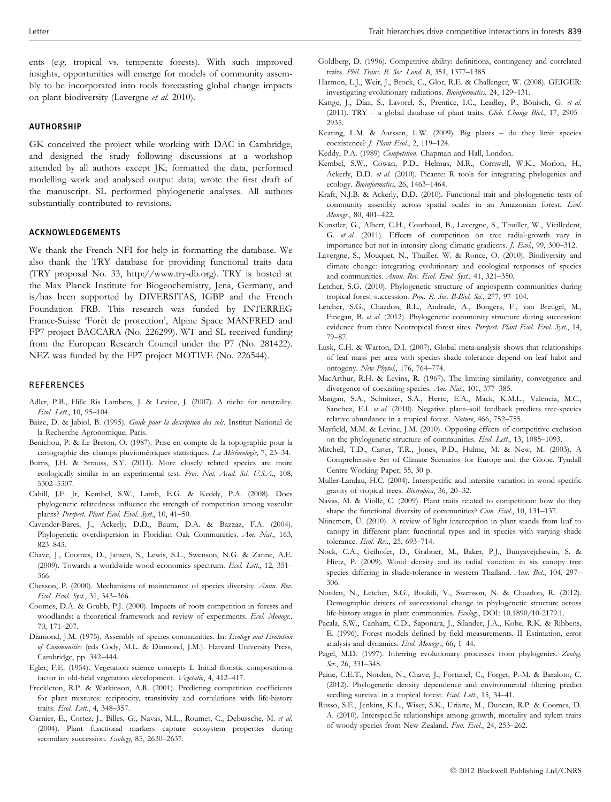ents (e.g. tropical vs. temperate forests). With such improved insights, opportunities will emerge for models of community assembly to be incorporated into tools forecasting global change impacts on plant biodiversity (Lavergne et al. 2010).

#### AUTHORSHIP

GK conceived the project while working with DAC in Cambridge, and designed the study following discussions at a workshop attended by all authors except JK; formatted the data, performed modelling work and analysed output data; wrote the first draft of the manuscript. SL performed phylogenetic analyses. All authors substantially contributed to revisions.

## ACKNOWLEDGEMENTS

We thank the French NFI for help in formatting the database. We also thank the TRY database for providing functional traits data (TRY proposal No. 33, http://www.try-db.org). TRY is hosted at the Max Planck Institute for Biogeochemistry, Jena, Germany, and is/has been supported by DIVERSITAS, IGBP and the French Foundation FRB. This research was funded by INTERREG France-Suisse 'Forêt de protection', Alpine Space MANFRED and FP7 project BACCARA (No. 226299). WT and SL received funding from the European Research Council under the P7 (No. 281422). NEZ was funded by the FP7 project MOTIVE (No. 226544).

#### REFERENCES

- Adler, P.B., Hille Ris Lambers, J. & Levine, J. (2007). A niche for neutrality. Ecol. Lett., 10, 95–104.
- Baize, D. & Jabiol, B. (1995). Guide pour la description des sols. Institut National de la Recherche Agronomique, Paris.
- Benichou, P. & Le Breton, O. (1987). Prise en compte de la topographie pour la cartographie des champs pluviométriques statistiques. La Météorologie, 7, 23-34.
- Burns, J.H. & Strauss, S.Y. (2011). More closely related species are more ecologically similar in an experimental test. Proc. Nat. Acad. Sci. U.S.A., 108, 5302–5307.
- Cahill, J.F. Jr, Kembel, S.W., Lamb, E.G. & Keddy, P.A. (2008). Does phylogenetic relatedness influence the strength of competition among vascular plants? Perspect. Plant Ecol. Evol. Syst., 10, 41-50.
- Cavender-Bares, J., Ackerly, D.D., Baum, D.A. & Bazzaz, F.A. (2004). Phylogenetic overdispersion in Floridian Oak Communities. Am. Nat., 163, 823–843.
- Chave, J., Coomes, D., Jansen, S., Lewis, S.L., Swenson, N.G. & Zanne, A.E. (2009). Towards a worldwide wood economics spectrum. Ecol. Lett., 12, 351-366.
- Chesson, P. (2000). Mechanisms of maintenance of species diversity. Annu. Rev. Ecol. Evol. Syst., 31, 343–366.
- Coomes, D.A. & Grubb, P.J. (2000). Impacts of roots competition in forests and woodlands: a theoretical framework and review of experiments. Ecol. Monogr., 70, 171–207.
- Diamond, J.M. (1975). Assembly of species communities. In: Ecology and Evolution of Communities (eds Cody, M.L. & Diamond, J.M.). Harvard University Press, Cambridge, pp. 342–444.
- Egler, F.E. (1954). Vegetation science concepts I. Initial floristic composition-a factor in old-field vegetation development. Vegetatio, 4, 412–417.
- Freckleton, R.P. & Watkinson, A.R. (2001). Predicting competition coefficients for plant mixtures: reciprocity, transitivity and correlations with life-history traits. Ecol. Lett., 4, 348–357.
- Garnier, E., Cortez, J., Billes, G., Navas, M.L., Roumet, C., Debussche, M. et al. (2004). Plant functional markers capture ecosystem properties during secondary succession. Ecology, 85, 2630-2637.
- Goldberg, D. (1996). Competitive ability: definitions, contingency and correlated traits. Phil. Trans. R. Soc. Lond. B, 351, 1377–1385.
- Harmon, L.J., Weir, J., Brock, C., Glor, R.E. & Challenger, W. (2008). GEIGER: investigating evolutionary radiations. Bioinformatics, 24, 129–131.
- Kattge, J., Díaz, S., Lavorel, S., Prentice, I.C., Leadley, P., Bönisch, G. et al. (2011). TRY - a global database of plant traits. Glob. Change Biol., 17, 2905-2935.
- Keating, L.M. & Aarssen, L.W. (2009). Big plants do they limit species coexistence? J. Plant Ecol., 2, 119–124.
- Keddy, P.A. (1989) Competition. Chapman and Hall, London.
- Kembel, S.W., Cowan, P.D., Helmus, M.R., Cornwell, W.K., Morlon, H., Ackerly, D.D. et al. (2010). Picante: R tools for integrating phylogenies and ecology. Bioinformatics, 26, 1463–1464.
- Kraft, N.J.B. & Ackerly, D.D. (2010). Functional trait and phylogenetic tests of community assembly across spatial scales in an Amazonian forest. Ecol. Monogr., 80, 401–422.
- Kunstler, G., Albert, C.H., Courbaud, B., Lavergne, S., Thuiller, W., Vieilledent, G. et al. (2011). Effects of competition on tree radial-growth vary in importance but not in intensity along climatic gradients. *J. Ecol.*, 99, 300-312.
- Lavergne, S., Mouquet, N., Thuiller, W. & Ronce, O. (2010). Biodiversity and climate change: integrating evolutionary and ecological responses of species and communities. Annu. Rev. Ecol. Evol. Syst., 41, 321-350.
- Letcher, S.G. (2010). Phylogenetic structure of angiosperm communities during tropical forest succession. Proc. R. Soc. B-Biol. Sci., 277, 97-104.
- Letcher, S.G., Chazdon, R.L., Andrade, A., Bongers, F., van Breugel, M., Finegan, B. et al. (2012). Phylogenetic community structure during succession: evidence from three Neotropical forest sites. Perspect. Plant Ecol. Evol. Syst., 14, 79–87.
- Lusk, C.H. & Warton, D.I. (2007). Global meta-analysis shows that relationships of leaf mass per area with species shade tolerance depend on leaf habit and ontogeny. New Phytol., 176, 764–774.
- MacArthur, R.H. & Levins, R. (1967). The limiting similarity, convergence and divergence of coexisting species. Am. Nat., 101, 377-385.
- Mangan, S.A., Schnitzer, S.A., Herre, E.A., Mack, K.M.L., Valencia, M.C., Sanchez, E.I. et al. (2010). Negative plant–soil feedback predicts tree-species relative abundance in a tropical forest. Nature, 466, 752–755.
- Mayfield, M.M. & Levine, J.M. (2010). Opposing effects of competitive exclusion on the phylogenetic structure of communities. Ecol. Lett., 13, 1085-1093.
- Mitchell, T.D., Carter, T.R., Jones, P.D., Hulme, M. & New, M. (2003). A Comprehensive Set of Climate Scenarios for Europe and the Globe. Tyndall Centre Working Paper, 55, 30 p.
- Muller-Landau, H.C. (2004). Interspecific and intersite variation in wood specific gravity of tropical trees. Biotropica, 36, 20–32.
- Navas, M. & Violle, C. (2009). Plant traits related to competition: how do they shape the functional diversity of communities? *Com. Ecol.*, 10, 131–137.
- Niinemets, Ü. (2010). A review of light interception in plant stands from leaf to canopy in different plant functional types and in species with varying shade tolerance. Ecol. Res., 25, 693–714.
- Nock, C.A., Geihofer, D., Grabner, M., Baker, P.J., Bunyavejchewin, S. & Hietz, P. (2009). Wood density and its radial variation in six canopy tree species differing in shade-tolerance in western Thailand. Ann. Bot., 104, 297– 306.
- Norden, N., Letcher, S.G., Boukili, V., Swenson, N. & Chazdon, R. (2012). Demographic drivers of successional change in phylogenetic structure across life-history stages in plant communities. Ecology, DOI: 10.1890/10-2179.1.
- Pacala, S.W., Canham, C.D., Saponara, J., Silander, J.A., Kobe, R.K. & Ribbens, E. (1996). Forest models defined by field measurements. II Estimation, error analysis and dynamics. Ecol. Monogr., 66, 1–44.
- Pagel, M.D. (1997). Inferring evolutionary processes from phylogenies. Zoolog. Scr., 26, 331–348.
- Paine, C.E.T., Norden, N., Chave, J., Fortunel, C., Forget, P.-M. & Baraloto, C. (2012). Phylogenetic density dependence and environmental filtering predict seedling survival in a tropical forest. Ecol. Lett., 15, 34-41.
- Russo, S.E., Jenkins, K.L., Wiser, S.K., Uriarte, M., Duncan, R.P. & Coomes, D. A. (2010). Interspecific relationships among growth, mortality and xylem traits of woody species from New Zealand. Fun. Ecol., 24, 253–262.